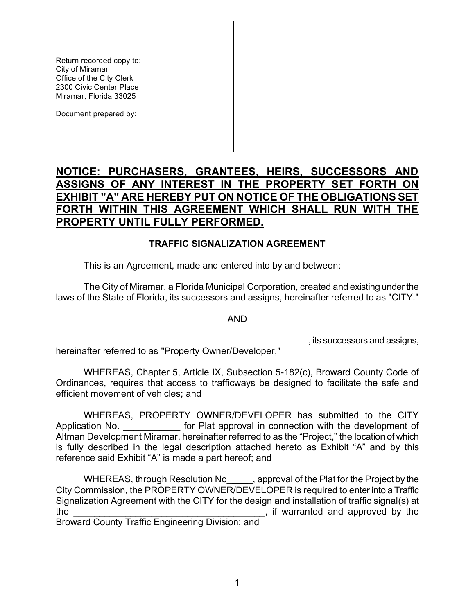Return recorded copy to: Office of the City Clerk Miramar, Florida 33025 City of Miramar 2300 Civic Center Place

Document prepared by:

# **NOTICE: PURCHASERS, GRANTEES, HEIRS, SUCCESSORS AND ASSIGNS OF ANY INTEREST IN THE PROPERTY SET FORTH ON EXHIBIT "A" ARE HEREBY PUT ON NOTICE OF THE OBLIGATIONS SET FORTH WITHIN THIS AGREEMENT WHICH SHALL RUN WITH THE** recorded copy to:<br>
The City Clerk<br>
To Conter Piece<br>
The City Clerk<br>
The Conter Piece<br>
The Conter Piece<br>
The Conter Piece<br>
The Conter Piece<br>
The City of ANY INTEREST IN THE PROPERTY SET FORTH ON<br>
IIBIT "A" ARE HEREBY PUT ON Return recorded copy to:<br>
City of Miramar<br>
City of Miramar<br>
Office of the City Clerk<br>
Miramar, Florida 33025<br>
Document prepared by:<br>
NOTICE: PURCHASERS, GRANTEES, INSIGNS OF ANY INTEREST IN THE P<br>
EXHIBIT "A" ARE HEREBY PU **PROPERTY UNTIL FULLY PERFORMED.**

#### **TRAFFIC SIGNALIZATION AGREEMENT**

This is an Agreement, made and entered into by and between:

 The City of Miramar, a Florida Municipal Corporation, created and existing under the laws of the State of Florida, its successors and assigns, hereinafter referred to as "CITY."

AND

\_\_\_\_\_\_\_\_\_\_\_\_\_\_\_\_\_\_\_\_\_\_\_\_\_\_\_\_\_\_\_\_\_\_\_\_\_\_\_\_\_\_\_\_\_\_\_\_\_, its successors and assigns,

hereinafter referred to as "Property Owner/Developer,"

 WHEREAS, Chapter 5, Article IX, Subsection 5-182(c), Broward County Code of Ordinances, requires that access to trafficways be designed to facilitate the safe and efficient movement of vehicles; and

WHEREAS, PROPERTY OWNER/DEVELOPER has submitted to the CITY Application No. **Example 20** for Plat approval in connection with the development of Altman Development Miramar, hereinafter referred to as the "Project," the location of which is fully described in the legal description attached hereto as Exhibit "A" and by this reference said Exhibit "A" is made a part hereof; and

WHEREAS, through Resolution No \_\_\_\_\_, approval of the Plat for the Project by the City Commission, the PROPERTY OWNER/DEVELOPER is required to enter into a Traffic Signalization Agreement with the CITY for the design and installation of traffic signal(s) at the <u>secondary contract the secondary secondary secondary secondary secondary secondary secondary secondary secondary secondary secondary secondary secondary secondary secondary secondary secondary secondary secondary seco</u>

Broward County Traffic Engineering Division; and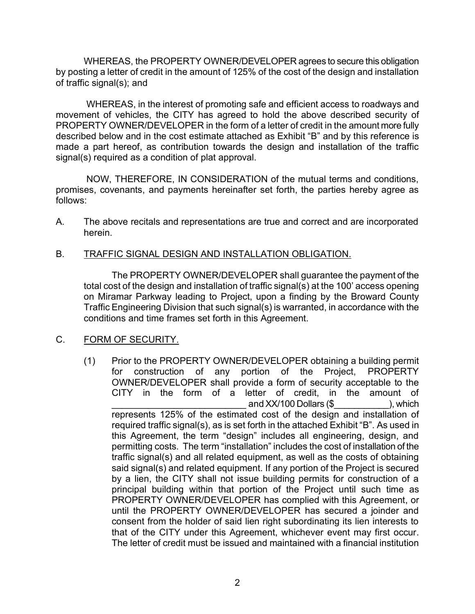WHEREAS, the PROPERTY OWNER/DEVELOPER agrees to secure this obligation by posting a letter of credit in the amount of 125% of the cost of the design and installation of traffic signal(s); and

 WHEREAS, in the interest of promoting safe and efficient access to roadways and movement of vehicles, the CITY has agreed to hold the above described security of PROPERTY OWNER/DEVELOPER in the form of a letter of credit in the amount more fully made a part hereof, as contribution towards the design and installation of the traffic WHEREAS, in the interest of promoting safe and efficient access to roadways a<br>ment of vehicles, the CITY has a greed to hold the above described security<br>DERTY OWNER/DEVELOPER in the form of a letter of credit in the amoun described below and in the cost estimate attached as Exhibit "B" and by this reference is signal(s) required as a condition of plat approval.

 promises, covenants, and payments hereinafter set forth, the parties hereby agree as NOW, THEREFORE, IN CONSIDERATION of the mutual terms and conditions, follows:

 A. The above recitals and representations are true and correct and are incorporated herein.

#### B. TRAFFIC SIGNAL DESIGN AND INSTALLATION OBLIGATION.

 The PROPERTY OWNER/DEVELOPER shall guarantee the payment of the total cost of the design and installation of traffic signal(s) at the 100' access opening on Miramar Parkway leading to Project, upon a finding by the Broward County Traffic Engineering Division that such signal(s) is warranted, in accordance with the conditions and time frames set forth in this Agreement.

#### C. FORM OF SECURITY.

(1) Prior to the PROPERTY OWNER/DEVELOPER obtaining a building permit for construction of any portion of the Project, PROPERTY OWNER/DEVELOPER shall provide a form of security acceptable to the CITY in the form of a letter of credit, in the amount of and XX/100 Dollars (\$ The second second  $\lambda$  and  $\lambda$ represents 125% of the estimated cost of the design and installation of required traffic signal(s), as is set forth in the attached Exhibit "B". As used in this Agreement, the term "design" includes all engineering, design, and permitting costs. The term "installation" includes the cost of installation of the traffic signal(s) and all related equipment, as well as the costs of obtaining said signal(s) and related equipment. If any portion of the Project is secured by a lien, the CITY shall not issue building permits for construction of a principal building within that portion of the Project until such time as PROPERTY OWNER/DEVELOPER has complied with this Agreement, or until the PROPERTY OWNER/DEVELOPER has secured a joinder and consent from the holder of said lien right subordinating its lien interests to that of the CITY under this Agreement, whichever event may first occur. The letter of credit must be issued and maintained with a financial institution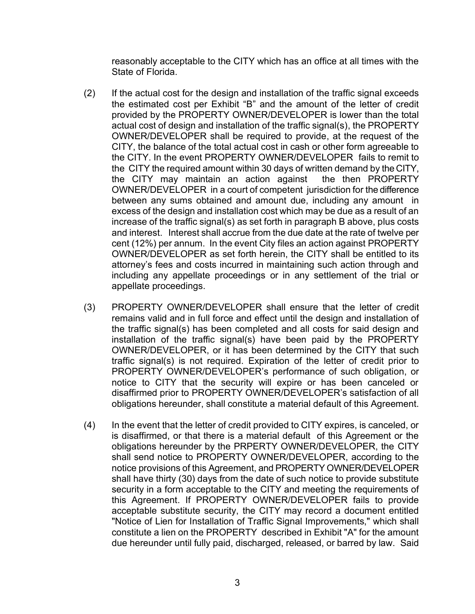State of Florida.

- the estimated cost per Exhibit "B" and the amount of the letter of credit provided by the PROPERTY OWNER/DEVELOPER is lower than the total actual cost of design and installation of the traffic signal(s), the PROPERTY OWNER/DEVELOPER shall be required to provide, at the request of the CITY, the balance of the total actual cost in cash or other form agreeable to the CITY. In the event PROPERTY OWNER/DEVELOPER fails to remit to the CITY the required amount within 30 days of written demand by the CITY, the CITY may maintain an action against the then PROPERTY OWNER/DEVELOPER in a court of competent jurisdiction for the difference between any sums obtained and amount due, including any amount in excess of the design and installation cost which may be due as a result of an increase of the traffic signal(s) as set forth in paragraph B above, plus costs between any sums obtained and amount due, including any amount in<br>excess of the design and installation cost which may be due as a result of an<br>increase of the traffic signal(s) as set forth in paragraph B above, plus cost cent (12%) per annum. In the event City files an action against PROPERTY OWNER/DEVELOPER as set forth herein, the CITY shall be entitled to its including any appellate proceedings or in any settlement of the trial or estimated cost per Exhibit "B" and the amount of the letter c<br>vided by the PROPERTY OWNER/DEVELOPER is lower than t<br>ual cost of design and installation of the traffic signal(s), the PRO<br>WER/DEVELOPER shall be required to p ELOPER as set forth herein, the CITY shall be entitle<br>is and costs incurred in maintaining such action throu<br>i appellate proceedings or in any settlement of the<br>ceedings.<br>OWNER/DEVELOPER shall ensure that the letter of<br>and reasonably acceptable to the CITY which has an office at all times with the State of Fronda.<br>
If the actual cost for the design and installation of the traffic signal exceeds<br>the estimated cost per Exhibit "B" and the amou (2) If the actual cost for the design and installation of the traffic signal exceeds attorney's fees and costs incurred in maintaining such action through and appellate proceedings.
- (3) PROPERTY OWNER/DEVELOPER shall ensure that the letter of credit remains valid and in full force and effect until the design and installation of the traffic signal(s) has been completed and all costs for said design and installation of the traffic signal(s) have been paid by the PROPERTY OWNER/DEVELOPER, or it has been determined by the CITY that such traffic signal(s) is not required. Expiration of the letter of credit prior to PROPERTY OWNER/DEVELOPER's performance of such obligation, or notice to CITY that the security will expire or has been canceled or obligations hereunder, shall constitute a material default of this Agreement. disaffirmed prior to PROPERTY OWNER/DEVELOPER's satisfaction of all
- (4) In the event that the letter of credit provided to CITY expires, is canceled, or is disaffirmed, or that there is a material default of this Agreement or the obligations hereunder by the PRPERTY OWNER/DEVELOPER, the CITY shall send notice to PROPERTY OWNER/DEVELOPER, according to the notice provisions of this Agreement, and PROPERTY OWNER/DEVELOPER shall have thirty (30) days from the date of such notice to provide substitute security in a form acceptable to the CITY and meeting the requirements of this Agreement. If PROPERTY OWNER/DEVELOPER fails to provide acceptable substitute security, the CITY may record a document entitled "Notice of Lien for Installation of Traffic Signal Improvements," which shall constitute a lien on the PROPERTY described in Exhibit "A" for the amount due hereunder until fully paid, discharged, released, or barred by law. Said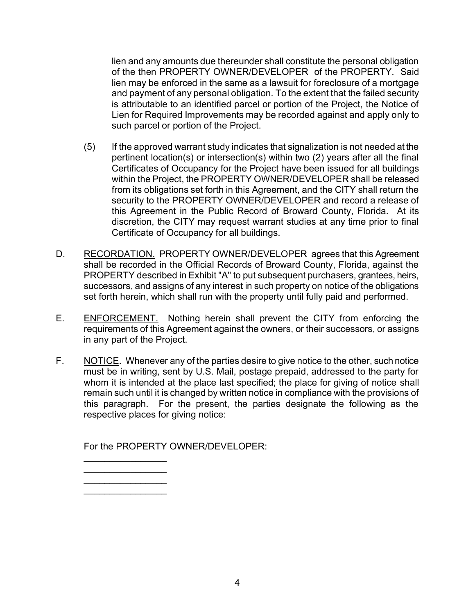lien and any amounts due thereunder shall constitute the personal obligation of the then PROPERTY OWNER/DEVELOPER of the PROPERTY. Said lien may be enforced in the same as a lawsuit for foreclosure of a mortgage and payment of any personal obligation. To the extent that the failed security is attributable to an identified parcel or portion of the Project, the Notice of Lien for Required Improvements may be recorded against and apply only to en and any amounts<br>f the then PROPEF<br>en may be enforced<br>nd payment of any r<br>is attributable to an i<br>ien for Required Im<br>uch parcel or portio<br>if the approved warra<br>ertinent location(s)<br>certificates of Occur<br>ithin the Projec such parcel or portion of the Project.

- (5) If the approved warrant study indicates that signalization is not needed at the pertinent location(s) or intersection(s) within two (2) years after all the final within the Project, the PROPERTY OWNER/DEVELOPER shall be released from its obligations set forth in this Agreement, and the CITY shall return the this Agreement in the Public Record of Broward County, Florida. At its discretion, the CITY may request warrant studies at any time prior to final tions set forth in this Agreement, and the CITY shall<br>PROPERTY OWNER/DEVELOPER and record a<br>at in the Public Record of Broward County, Floric<br>CITY may request warrant studies at any time pr<br>Dccupancy for all buildings. Certificates of Occupancy for the Project have been issued for all buildings security to the PROPERTY OWNER/DEVELOPER and record a release of Certificate of Occupancy for all buildings.
- D. RECORDATION. PROPERTY OWNER/DEVELOPER agrees that this Agreement shall be recorded in the Official Records of Broward County, Florida, against the PROPERTY described in Exhibit "A" to put subsequent purchasers, grantees, heirs, j set forth herein, which shall run with the property until fully paid and performed. be recorded in the Official Records of Broward C<br>PERTY described in Exhibit "A" to put subsequent p<br>essors, and assigns of any interest in such property<br>orth herein, which shall run with the property until fu<br>ORCEMENT. Not successors, and assigns of any interest in such property on notice of the obligations
- E. **ENFORCEMENT.** Nothing herein shall prevent the CITY from enforcing the requirements of this Agreement against the owners, or their successors, or assigns requirements of this Agreement against the owners, or their successors, or assigns<br>in any part of the Project.<br>F. NOTICE. Whenever any of the parties desire to give notice to the other, such notice in any part of the Project.
- must be in writing, sent by U.S. Mail, postage prepaid, addressed to the party for remain such until it is changed by written notice in compliance with the provisions of this paragraph. For the present, the parties designate the following as the e in writing, ser<br>it is intended at<br>such until it is c<br>rragraph. For whom it is intended at the place last specified; the place for giving of notice shall respective places for giving notice:

For the PROPERTY OWNER/DEVELOPER:

 $\overline{\phantom{a}}$  , which is the set of the set of the set of the set of the set of the set of the set of the set of the set of the set of the set of the set of the set of the set of the set of the set of the set of the set of  $\overline{\phantom{a}}$  , where  $\overline{\phantom{a}}$ \_\_\_\_\_\_\_\_\_\_\_\_\_\_\_\_  $\overline{\phantom{a}}$  , where  $\overline{\phantom{a}}$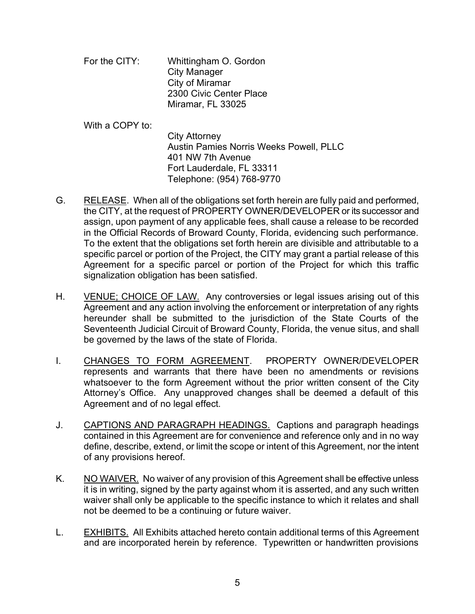- For the CITY: Whittingham O. Gordon City Manager City of Miramar 2300 Civic Center Place Miramar, FL 33025
- Telephone: (954) 768-9770 With a COPY to: City Attorney Austin Pamies Norris Weeks Powell, PLLC 401 NW 7th Avenue Fort Lauderdale, FL 33311
- G. RELEASE. When all of the obligations set forth herein are fully paid and performed, the CITY, at the request of PROPERTY OWNER/DEVELOPER or its successor and assign, upon payment of any applicable fees, shall cause a release to be recorded in the Official Records of Broward County, Florida, evidencing such performance. the CITY, at the request of PROPERTY OWNER/DEVELOPER or its successor and<br>assign, upon payment of any applicable fees, shall cause a release to be recorded<br>in the Official Records of Broward County, Florida, evidencing suc Agreement for a specific parcel or portion of the Project for which this traffic To the extent that the obligations set forth herein are divisible and attributable to a signalization obligation has been satisfied.
- H. VENUE; CHOICE OF LAW. Any controversies or legal issues arising out of this Agreement and any action involving the enforcement or interpretation of any rights hereunder shall be submitted to the jurisdiction of the State Courts of the Seventeenth Judicial Circuit of Broward County, Florida, the venue situs, and shall t for a specific parcel or portion of the Project<br>on obligation has been satisfied.<br>
HOICE OF LAW. Any controversies or legal isst<br>
t and any action involving the enforcement or inter<br>
shall be submitted to the jurisdictio be governed by the laws of the state of Florida.
- represents and warrants that there have been no amendments or revisions whatsoever to the form Agreement without the prior written consent of the City Attorney's Office. Any unapproved changes shall be deemed a default of this I. CHANGES TO FORM AGREEMENT. PROPERTY OWNER/DEVELOPER Agreement and of no legal effect.
- contained in this Agreement are for convenience and reference only and in no way define, describe, extend, or limit the scope or intent of this Agreement, nor the intent of any provisions hereof. J. CAPTIONS AND PARAGRAPH HEADINGS. Captions and paragraph headings
- K. NO WAIVER. No waiver of any provision of this Agreement shall be effective unless it is in writing, signed by the party against whom it is asserted, and any such written waiver shall only be applicable to the specific instance to which it relates and shall not be deemed to be a continuing or future waiver.
- L. **EXHIBITS.** All Exhibits attached hereto contain additional terms of this Agreement and are incorporated herein by reference. Typewritten or handwritten provisions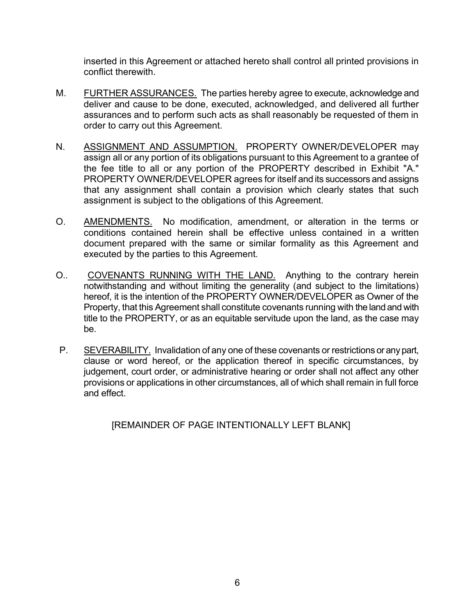inserted in this Agreement or attached hereto shall control all printed provisions in conflict therewith.

- M. FURTHER ASSURANCES. The parties hereby agree to execute, acknowledge and deliver and cause to be done, executed, acknowledged, and delivered all further assurances and to perform such acts as shall reasonably be requested of them in order to carry out this Agreement.
- N. ASSIGNMENT AND ASSUMPTION. PROPERTY OWNER/DEVELOPER may assign all or any portion of its obligations pursuant to this Agreement to a grantee of the fee title to all or any portion of the PROPERTY described in Exhibit "A." PROPERTY OWNER/DEVELOPER agrees for itself and its successors and assigns that any assignment shall contain a provision which clearly states that such assignment is subject to the obligations of this Agreement.
- O. AMENDMENTS. No modification, amendment, or alteration in the terms or conditions contained herein shall be effective unless contained in a written document prepared with the same or similar formality as this Agreement and executed by the parties to this Agreement.
- O.. COVENANTS RUNNING WITH THE LAND. Anything to the contrary herein notwithstanding and without limiting the generality (and subject to the limitations) hereof, it is the intention of the PROPERTY OWNER/DEVELOPER as Owner of the Property, that this Agreement shall constitute covenants running with the land and with title to the PROPERTY, or as an equitable servitude upon the land, as the case may be.
- P. SEVERABILITY. Invalidation of any one of these covenants or restrictions or any part, clause or word hereof, or the application thereof in specific circumstances, by judgement, court order, or administrative hearing or order shall not affect any other provisions or applications in other circumstances, all of which shall remain in full force and effect.

[REMAINDER OF PAGE INTENTIONALLY LEFT BLANK]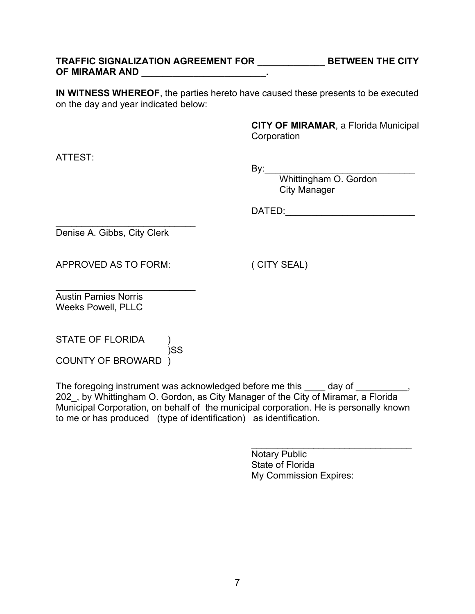### TRAFFIC SIGNALIZATION AGREEMENT FOR \_\_\_\_\_\_\_\_\_\_\_\_\_\_\_BETWEEN THE CITY **OF MIRAMAR AND \_\_\_\_\_\_\_\_\_\_\_\_\_\_\_\_\_\_\_\_\_\_\_\_.**

**IN WITNESS WHEREOF**, the parties hereto have caused these presents to be executed<br>on the day and year indicated below:<br>**CITY OF MIRAMAR**, a Florida Municipal on the day and year indicated below:

**CITY OF MIRAMAR**, a Florida Municipal **Corporation** 

ATTEST:

By:\_\_\_\_\_\_\_\_\_\_\_\_\_\_\_\_\_\_\_\_\_\_\_\_\_\_\_\_\_

Whittingham O. Gordon City Manager

DATED:\_\_\_\_\_\_\_\_\_\_\_\_\_\_\_\_\_\_\_\_\_\_\_\_\_

Denise A. Gibbs, City Clerk

 $\overline{\phantom{a}}$  , where  $\overline{\phantom{a}}$  , where  $\overline{\phantom{a}}$  , where  $\overline{\phantom{a}}$  , where  $\overline{\phantom{a}}$ 

APPROVED AS TO FORM: ( CITY SEAL)

 $\overline{\phantom{a}}$  , where  $\overline{\phantom{a}}$  , where  $\overline{\phantom{a}}$  , where  $\overline{\phantom{a}}$  , where  $\overline{\phantom{a}}$ Austin Pamies Norris Weeks Powell, PLLC

 COUNTY OF BROWARD ) STATE OF FLORIDA ) )SS

The foregoing instrument was acknowledged before me this \_\_\_\_ day of 202\_, by Whittingham O. Gordon, as City Manager of the City of Miramar, a Florida Municipal Corporation, on behalf of the municipal corporation. He is personally known to me or has produced (type of identification) as identification.

j.

Notary Public State of Florida My Commission Expires:

 $\overline{\phantom{a}}$  , where  $\overline{\phantom{a}}$  , where  $\overline{\phantom{a}}$  , where  $\overline{\phantom{a}}$  , where  $\overline{\phantom{a}}$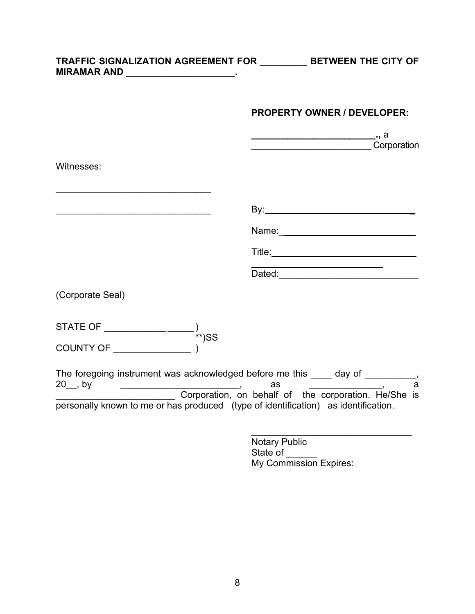| <b>TRAFFIC SIGNALIZATION AGREEMENT FOR</b> | <b>BETWEEN THE CITY OF</b> |
|--------------------------------------------|----------------------------|
| <b>MIRAMAR AND</b>                         |                            |

## **PROPERTY OWNER / DEVELOPER:**

|                                                                                                                                                                                                            |    | Corporation |
|------------------------------------------------------------------------------------------------------------------------------------------------------------------------------------------------------------|----|-------------|
| Witnesses:                                                                                                                                                                                                 |    |             |
|                                                                                                                                                                                                            |    |             |
|                                                                                                                                                                                                            |    |             |
|                                                                                                                                                                                                            |    |             |
|                                                                                                                                                                                                            |    |             |
| (Corporate Seal)                                                                                                                                                                                           |    |             |
|                                                                                                                                                                                                            |    |             |
|                                                                                                                                                                                                            |    |             |
| The foregoing instrument was acknowledged before me this ____ day of __________,<br>$20$ , by<br>$\overline{\phantom{a}}$ , and the contract of the contract of the contract of $\overline{\phantom{a}}$ , | as | a           |
| Corporation, on behalf of the corporation. He/She is<br>personally known to me or has produced (type of identification) as identification.                                                                 |    |             |

Notary Public State of \_\_\_\_\_\_ My Commission Expires: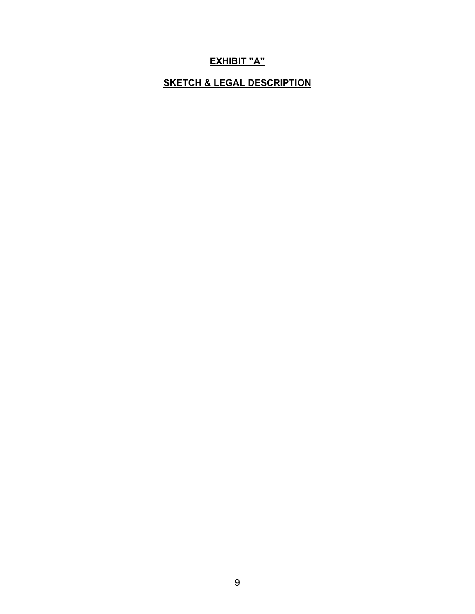# **EXHIBIT "A"**

## **SKETCH & LEGAL DESCRIPTION**